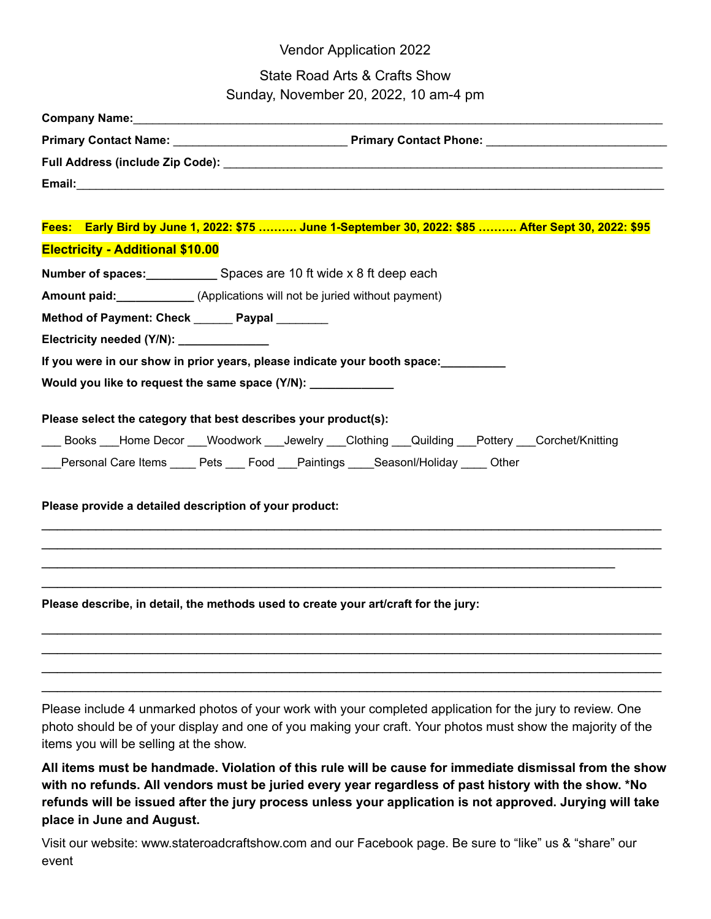## Vendor Application 2022

## State Road Arts & Crafts Show  $Sundau$ , November 20, 2022, 10 am- $\mu$

| Sunday, November 20, 2022, 10 am-4 pm                                                                  |
|--------------------------------------------------------------------------------------------------------|
| Company Name: <u>Company Name:</u> Company Name: 2014                                                  |
|                                                                                                        |
|                                                                                                        |
|                                                                                                        |
| Fees: Early Bird by June 1, 2022: \$75  June 1-September 30, 2022: \$85  After Sept 30, 2022: \$95     |
| <b>Electricity - Additional \$10.00</b>                                                                |
|                                                                                                        |
| <b>Number of spaces:</b> Spaces are 10 ft wide x 8 ft deep each                                        |
| <b>Amount paid:</b> _____________(Applications will not be juried without payment)                     |
| Method of Payment: Check Paypal                                                                        |
| Electricity needed (Y/N): ______________                                                               |
| If you were in our show in prior years, please indicate your booth space:                              |
| Would you like to request the same space (Y/N): _____________                                          |
|                                                                                                        |
| Please select the category that best describes your product(s):                                        |
| ____ Books ___Home Decor ___Woodwork ___Jewelry ___Clothing ___Quilding ___Pottery ___Corchet/Knitting |
| ___Personal Care Items ____ Pets ___ Food ___Paintings ____Seasonl/Holiday ____ Other                  |
|                                                                                                        |
| Please provide a detailed description of your product:                                                 |
|                                                                                                        |
|                                                                                                        |
|                                                                                                        |
|                                                                                                        |
| Please describe, in detail, the methods used to create your art/craft for the jury:                    |
|                                                                                                        |

Please include 4 unmarked photos of your work with your completed application for the jury to review. One photo should be of your display and one of you making your craft. Your photos must show the majority of the items you will be selling at the show.

 $\mathcal{L}_\mathcal{L} = \mathcal{L}_\mathcal{L} = \mathcal{L}_\mathcal{L} = \mathcal{L}_\mathcal{L} = \mathcal{L}_\mathcal{L} = \mathcal{L}_\mathcal{L} = \mathcal{L}_\mathcal{L} = \mathcal{L}_\mathcal{L} = \mathcal{L}_\mathcal{L} = \mathcal{L}_\mathcal{L} = \mathcal{L}_\mathcal{L} = \mathcal{L}_\mathcal{L} = \mathcal{L}_\mathcal{L} = \mathcal{L}_\mathcal{L} = \mathcal{L}_\mathcal{L} = \mathcal{L}_\mathcal{L} = \mathcal{L}_\mathcal{L}$  $\mathcal{L}_\mathcal{L} = \mathcal{L}_\mathcal{L} = \mathcal{L}_\mathcal{L} = \mathcal{L}_\mathcal{L} = \mathcal{L}_\mathcal{L} = \mathcal{L}_\mathcal{L} = \mathcal{L}_\mathcal{L} = \mathcal{L}_\mathcal{L} = \mathcal{L}_\mathcal{L} = \mathcal{L}_\mathcal{L} = \mathcal{L}_\mathcal{L} = \mathcal{L}_\mathcal{L} = \mathcal{L}_\mathcal{L} = \mathcal{L}_\mathcal{L} = \mathcal{L}_\mathcal{L} = \mathcal{L}_\mathcal{L} = \mathcal{L}_\mathcal{L}$  $\mathcal{L}_\mathcal{L} = \mathcal{L}_\mathcal{L} = \mathcal{L}_\mathcal{L} = \mathcal{L}_\mathcal{L} = \mathcal{L}_\mathcal{L} = \mathcal{L}_\mathcal{L} = \mathcal{L}_\mathcal{L} = \mathcal{L}_\mathcal{L} = \mathcal{L}_\mathcal{L} = \mathcal{L}_\mathcal{L} = \mathcal{L}_\mathcal{L} = \mathcal{L}_\mathcal{L} = \mathcal{L}_\mathcal{L} = \mathcal{L}_\mathcal{L} = \mathcal{L}_\mathcal{L} = \mathcal{L}_\mathcal{L} = \mathcal{L}_\mathcal{L}$ 

All items must be handmade. Violation of this rule will be cause for immediate dismissal from the show with no refunds. All vendors must be juried every year regardless of past history with the show. \*No **refunds will be issued after the jury process unless your application is not approved. Jurying will take place in June and August.**

Visit our website: www.stateroadcraftshow.com and our Facebook page. Be sure to "like" us & "share" our event